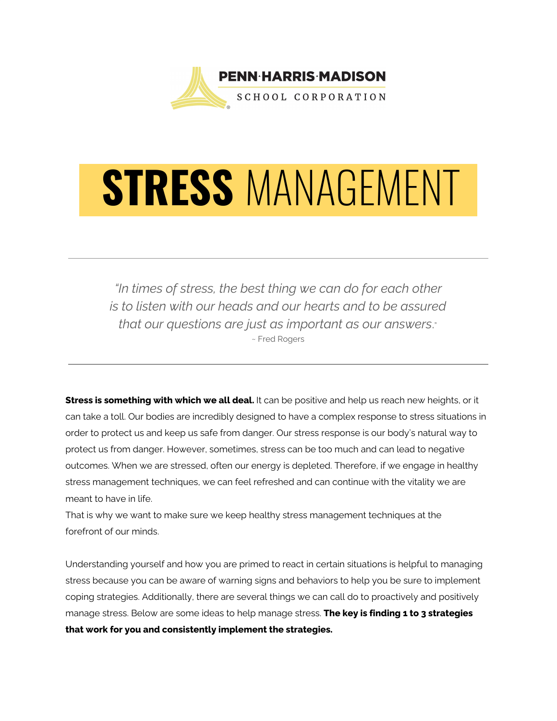

# STRESS MANAGEMENT

*"In times of stress, the best thing we can do for each other is to listen with our heads and our hearts and to be assured that our questions are just as important as our answers*." ~ Fred Rogers

**Stress is something with which we all deal.** It can be positive and help us reach new heights, or it can take a toll. Our bodies are incredibly designed to have a complex response to stress situations in order to protect us and keep us safe from danger. Our stress response is our body's natural way to protect us from danger. However, sometimes, stress can be too much and can lead to negative outcomes. When we are stressed, often our energy is depleted. Therefore, if we engage in healthy stress management techniques, we can feel refreshed and can continue with the vitality we are meant to have in life.

That is why we want to make sure we keep healthy stress management techniques at the forefront of our minds.

Understanding yourself and how you are primed to react in certain situations is helpful to managing stress because you can be aware of warning signs and behaviors to help you be sure to implement coping strategies. Additionally, there are several things we can call do to proactively and positively manage stress. Below are some ideas to help manage stress. **The key is finding 1 to 3 strategies that work for you and consistently implement the strategies.**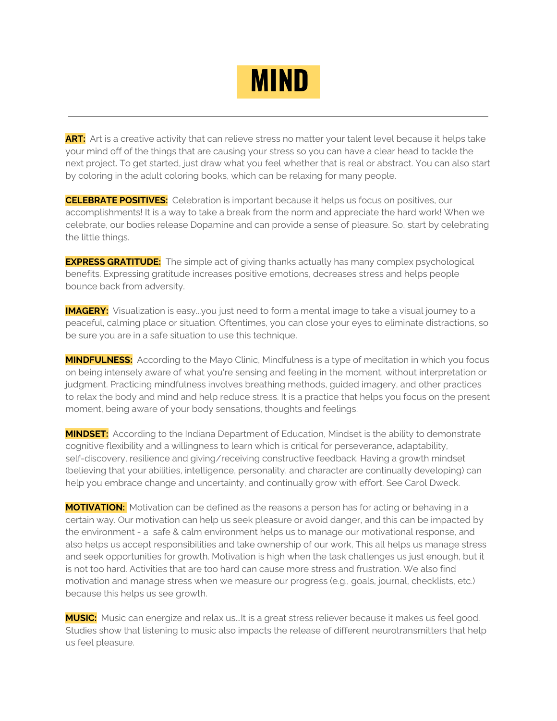

**ART:** Art is a creative activity that can relieve stress no matter your talent level because it helps take your mind off of the things that are causing your stress so you can have a clear head to tackle the next project. To get started, just draw what you feel whether that is real or abstract. You can also start by coloring in the adult coloring books, which can be relaxing for many people.

**CELEBRATE POSITIVES:** Celebration is important because it helps us focus on positives, our accomplishments! It is a way to take a break from the norm and appreciate the hard work! When we celebrate, our bodies release Dopamine and can provide a sense of pleasure. So, start by celebrating the little things.

**EXPRESS GRATITUDE:** The simple act of giving thanks actually has many complex psychological benefits. Expressing gratitude increases positive emotions, decreases stress and helps people bounce back from adversity.

**IMAGERY:** Visualization is easy...you just need to form a mental image to take a visual journey to a peaceful, calming place or situation. Oftentimes, you can close your eyes to eliminate distractions, so be sure you are in a safe situation to use this technique.

**MINDFULNESS:** According to the Mayo Clinic, Mindfulness is a type of meditation in which you focus on being intensely aware of what you're sensing and feeling in the moment, without interpretation or judgment. Practicing mindfulness involves breathing methods, guided imagery, and other practices to relax the body and mind and help reduce stress. It is a practice that helps you focus on the present moment, being aware of your body sensations, thoughts and feelings.

**MINDSET:** According to the Indiana Department of Education, Mindset is the ability to demonstrate cognitive flexibility and a willingness to learn which is critical for perseverance, adaptability, self-discovery, resilience and giving/receiving constructive feedback. Having a growth mindset (believing that your abilities, intelligence, personality, and character are continually developing) can help you embrace change and uncertainty, and continually grow with effort. See Carol Dweck.

**MOTIVATION:** Motivation can be defined as the reasons a person has for acting or behaving in a certain way. Our motivation can help us seek pleasure or avoid danger, and this can be impacted by the environment - a safe & calm environment helps us to manage our motivational response, and also helps us accept responsibilities and take ownership of our work, This all helps us manage stress and seek opportunities for growth. Motivation is high when the task challenges us just enough, but it is not too hard. Activities that are too hard can cause more stress and frustration. We also find motivation and manage stress when we measure our progress (e.g., goals, journal, checklists, etc.) because this helps us see growth.

**MUSIC:** Music can energize and relax us...It is a great stress reliever because it makes us feel good. Studies show that listening to music also impacts the release of different neurotransmitters that help us feel pleasure.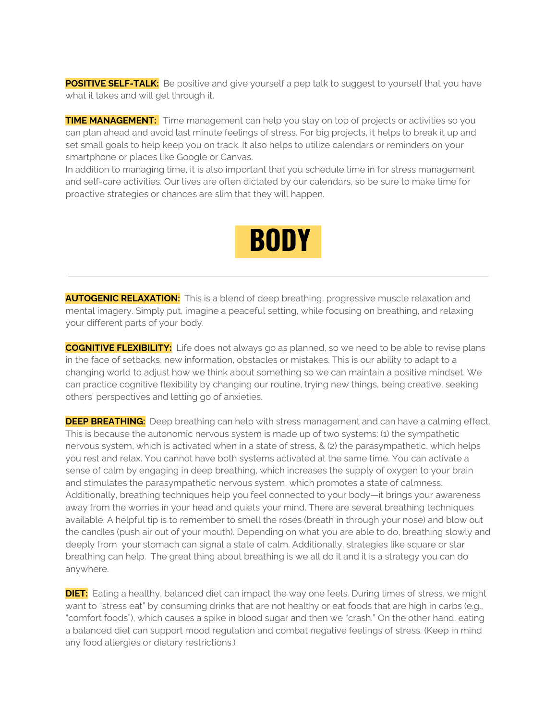**POSITIVE SELF-TALK:** Be positive and give yourself a pep talk to suggest to yourself that you have what it takes and will get through it.

**TIME MANAGEMENT:** Time management can help you stay on top of projects or activities so you can plan ahead and avoid last minute feelings of stress. For big projects, it helps to break it up and set small goals to help keep you on track. It also helps to utilize calendars or reminders on your smartphone or places like Google or Canvas.

In addition to managing time, it is also important that you schedule time in for stress management and self-care activities. Our lives are often dictated by our calendars, so be sure to make time for proactive strategies or chances are slim that they will happen.

## **BODY**

**AUTOGENIC RELAXATION:** This is a blend of deep breathing, progressive muscle relaxation and mental imagery. Simply put, imagine a peaceful setting, while focusing on breathing, and relaxing your different parts of your body.

**COGNITIVE FLEXIBILITY:** Life does not always go as planned, so we need to be able to revise plans in the face of setbacks, new information, obstacles or mistakes. This is our ability to adapt to a changing world to adjust how we think about something so we can maintain a positive mindset. We can practice cognitive flexibility by changing our routine, trying new things, being creative, seeking others' perspectives and letting go of anxieties.

**DEEP BREATHING:** Deep breathing can help with stress management and can have a calming effect. This is because the autonomic nervous system is made up of two systems: (1) the sympathetic nervous system, which is activated when in a state of stress, & (2) the parasympathetic, which helps you rest and relax. You cannot have both systems activated at the same time. You can activate a sense of calm by engaging in deep breathing, which increases the supply of oxygen to your brain and stimulates the parasympathetic nervous system, which promotes a state of calmness. Additionally, breathing techniques help you feel connected to your body—it brings your awareness away from the worries in your head and quiets your mind. There are several breathing techniques available. A helpful tip is to remember to smell the roses (breath in through your nose) and blow out the candles (push air out of your mouth). Depending on what you are able to do, breathing slowly and deeply from your stomach can signal a state of calm. Additionally, strategies like square or star breathing can help. The great thing about breathing is we all do it and it is a strategy you can do anywhere.

**DIET:** Eating a healthy, balanced diet can impact the way one feels. During times of stress, we might want to "stress eat" by consuming drinks that are not healthy or eat foods that are high in carbs (e.g., "comfort foods"), which causes a spike in blood sugar and then we "crash." On the other hand, eating a balanced diet can support mood regulation and combat negative feelings of stress. (Keep in mind any food allergies or dietary restrictions.)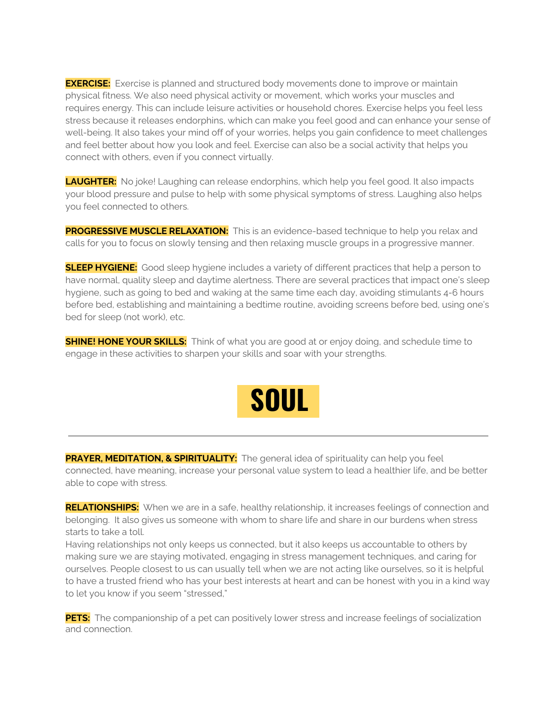**EXERCISE:** Exercise is planned and structured body movements done to improve or maintain physical fitness. We also need physical activity or movement, which works your muscles and requires energy. This can include leisure activities or household chores. Exercise helps you feel less stress because it releases endorphins, which can make you feel good and can enhance your sense of well-being. It also takes your mind off of your worries, helps you gain confidence to meet challenges and feel better about how you look and feel. Exercise can also be a social activity that helps you connect with others, even if you connect virtually.

**LAUGHTER:** No joke! Laughing can release endorphins, which help you feel good. It also impacts your blood pressure and pulse to help with some physical symptoms of stress. Laughing also helps you feel connected to others.

**PROGRESSIVE MUSCLE RELAXATION:** This is an evidence-based technique to help you relax and calls for you to focus on slowly tensing and then relaxing muscle groups in a progressive manner.

**SLEEP HYGIENE:** Good sleep hygiene includes a variety of different practices that help a person to have normal, quality sleep and daytime alertness. There are several practices that impact one's sleep hygiene, such as going to bed and waking at the same time each day, avoiding stimulants 4-6 hours before bed, establishing and maintaining a bedtime routine, avoiding screens before bed, using one's bed for sleep (not work), etc.

**SHINE! HONE YOUR SKILLS:** Think of what you are good at or enjoy doing, and schedule time to engage in these activities to sharpen your skills and soar with your strengths.



**PRAYER, MEDITATION, & SPIRITUALITY:** The general idea of spirituality can help you feel connected, have meaning, increase your personal value system to lead a healthier life, and be better able to cope with stress.

**RELATIONSHIPS:** When we are in a safe, healthy relationship, it increases feelings of connection and belonging. It also gives us someone with whom to share life and share in our burdens when stress starts to take a toll.

Having relationships not only keeps us connected, but it also keeps us accountable to others by making sure we are staying motivated, engaging in stress management techniques, and caring for ourselves. People closest to us can usually tell when we are not acting like ourselves, so it is helpful to have a trusted friend who has your best interests at heart and can be honest with you in a kind way to let you know if you seem "stressed,"

**PETS:** The companionship of a pet can positively lower stress and increase feelings of socialization and connection.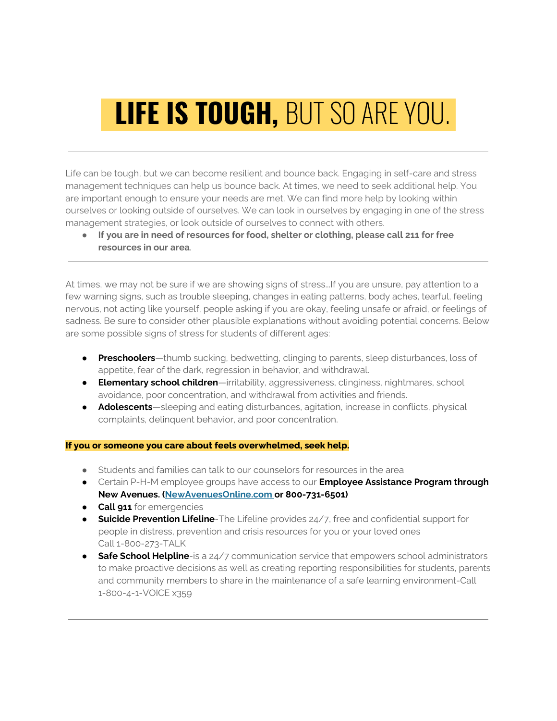# **LIFE IS TOUGH, BUT SO ARE YOU.**

Life can be tough, but we can become resilient and bounce back. Engaging in self-care and stress management techniques can help us bounce back. At times, we need to seek additional help. You are important enough to ensure your needs are met. We can find more help by looking within ourselves or looking outside of ourselves. We can look in ourselves by engaging in one of the stress management strategies, or look outside of ourselves to connect with others.

● **If you are in need of resources for food, shelter or clothing, please call 211 for free resources in our area**.

At times, we may not be sure if we are showing signs of stress...If you are unsure, pay attention to a few warning signs, such as trouble sleeping, changes in eating patterns, body aches, tearful, feeling nervous, not acting like yourself, people asking if you are okay, feeling unsafe or afraid, or feelings of sadness. Be sure to consider other plausible explanations without avoiding potential concerns. Below are some possible signs of stress for students of different ages:

- **Preschoolers**—thumb sucking, bedwetting, clinging to parents, sleep disturbances, loss of appetite, fear of the dark, regression in behavior, and withdrawal.
- **Elementary school children**—irritability, aggressiveness, clinginess, nightmares, school avoidance, poor concentration, and withdrawal from activities and friends.
- **Adolescents**—sleeping and eating disturbances, agitation, increase in conflicts, physical complaints, delinquent behavior, and poor concentration.

#### **If you or someone you care about feels overwhelmed, seek help.**

- Students and families can talk to our counselors for resources in the area
- Certain P-H-M employee groups have access to our **Employee Assistance Program through New Avenues. ([NewAvenuesOnline.com](http://newavenuesonline.com/) or 800-731-6501)**
- **Call 911** for emergencies
- **Suicide Prevention Lifeline**-The Lifeline provides 24/7, free and confidential support for people in distress, prevention and crisis resources for you or your loved ones Call 1-800-273-TALK
- **Safe School Helpline**-is a 24/7 communication service that empowers school administrators to make proactive decisions as well as creating reporting responsibilities for students, parents and community members to share in the maintenance of a safe learning environment-Call 1-800-4-1-VOICE x359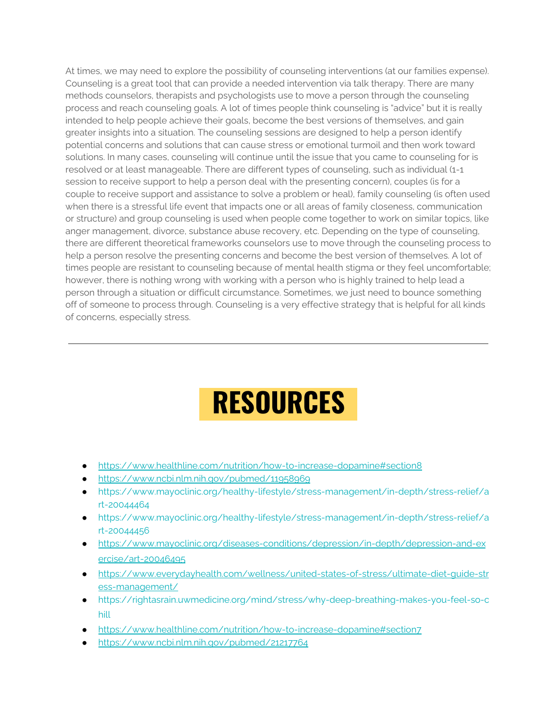At times, we may need to explore the possibility of counseling interventions (at our families expense). Counseling is a great tool that can provide a needed intervention via talk therapy. There are many methods counselors, therapists and psychologists use to move a person through the counseling process and reach counseling goals. A lot of times people think counseling is "advice" but it is really intended to help people achieve their goals, become the best versions of themselves, and gain greater insights into a situation. The counseling sessions are designed to help a person identify potential concerns and solutions that can cause stress or emotional turmoil and then work toward solutions. In many cases, counseling will continue until the issue that you came to counseling for is resolved or at least manageable. There are different types of counseling, such as individual (1-1 session to receive support to help a person deal with the presenting concern), couples (is for a couple to receive support and assistance to solve a problem or heal), family counseling (is often used when there is a stressful life event that impacts one or all areas of family closeness, communication or structure) and group counseling is used when people come together to work on similar topics, like anger management, divorce, substance abuse recovery, etc. Depending on the type of counseling, there are different theoretical frameworks counselors use to move through the counseling process to help a person resolve the presenting concerns and become the best version of themselves. A lot of times people are resistant to counseling because of mental health stigma or they feel uncomfortable; however, there is nothing wrong with working with a person who is highly trained to help lead a person through a situation or difficult circumstance. Sometimes, we just need to bounce something off of someone to process through. Counseling is a very effective strategy that is helpful for all kinds of concerns, especially stress.

### **RESOURCES**

- <https://www.healthline.com/nutrition/how-to-increase-dopamine#section8>
- <https://www.ncbi.nlm.nih.gov/pubmed/11958969>
- [https://www.mayoclinic.org/healthy-lifestyle/stress-management/in-depth/stress-relief/a](https://www.mayoclinic.org/healthy-lifestyle/stress-management/in-depth/stress-relief/art-20044464) [rt-20044464](https://www.mayoclinic.org/healthy-lifestyle/stress-management/in-depth/stress-relief/art-20044464)
- [https://www.mayoclinic.org/healthy-lifestyle/stress-management/in-depth/stress-relief/a](https://www.mayoclinic.org/healthy-lifestyle/stress-management/in-depth/stress-relief/art-20044456) [rt-20044456](https://www.mayoclinic.org/healthy-lifestyle/stress-management/in-depth/stress-relief/art-20044456)
- [https://www.mayoclinic.org/diseases-conditions/depression/in-depth/depression-and-ex](https://www.mayoclinic.org/diseases-conditions/depression/in-depth/depression-and-exercise/art-20046495) [ercise/art-20046495](https://www.mayoclinic.org/diseases-conditions/depression/in-depth/depression-and-exercise/art-20046495)
- [https://www.everydayhealth.com/wellness/united-states-of-stress/ultimate-diet-guide-str](https://www.everydayhealth.com/wellness/united-states-of-stress/ultimate-diet-guide-stress-management/) [ess-management/](https://www.everydayhealth.com/wellness/united-states-of-stress/ultimate-diet-guide-stress-management/)
- [https://rightasrain.uwmedicine.org/mind/stress/why-deep-breathing-makes-you-feel-so-c](https://rightasrain.uwmedicine.org/mind/stress/why-deep-breathing-makes-you-feel-so-chill) [hill](https://rightasrain.uwmedicine.org/mind/stress/why-deep-breathing-makes-you-feel-so-chill)
- <https://www.healthline.com/nutrition/how-to-increase-dopamine#section7>
- <https://www.ncbi.nlm.nih.gov/pubmed/21217764>